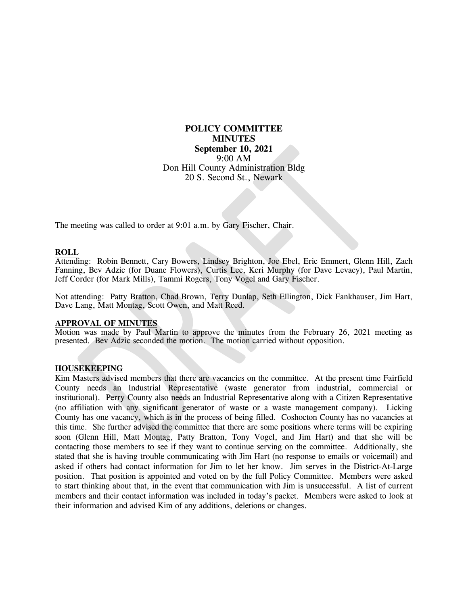# **POLICY COMMITTEE MINUTES September 10, 2021** 9:00 AM Don Hill County Administration Bldg 20 S. Second St., Newark

The meeting was called to order at 9:01 a.m. by Gary Fischer, Chair.

## **ROLL**

Attending: Robin Bennett, Cary Bowers, Lindsey Brighton, Joe Ebel, Eric Emmert, Glenn Hill, Zach Fanning, Bev Adzic (for Duane Flowers), Curtis Lee, Keri Murphy (for Dave Levacy), Paul Martin, Jeff Corder (for Mark Mills), Tammi Rogers, Tony Vogel and Gary Fischer.

Not attending: Patty Bratton, Chad Brown, Terry Dunlap, Seth Ellington, Dick Fankhauser, Jim Hart, Dave Lang, Matt Montag, Scott Owen, and Matt Reed.

### **APPROVAL OF MINUTES**

Motion was made by Paul Martin to approve the minutes from the February 26, 2021 meeting as presented. Bev Adzic seconded the motion. The motion carried without opposition.

#### **HOUSEKEEPING**

Kim Masters advised members that there are vacancies on the committee. At the present time Fairfield County needs an Industrial Representative (waste generator from industrial, commercial or institutional). Perry County also needs an Industrial Representative along with a Citizen Representative (no affiliation with any significant generator of waste or a waste management company). Licking County has one vacancy, which is in the process of being filled. Coshocton County has no vacancies at this time. She further advised the committee that there are some positions where terms will be expiring soon (Glenn Hill, Matt Montag, Patty Bratton, Tony Vogel, and Jim Hart) and that she will be contacting those members to see if they want to continue serving on the committee. Additionally, she stated that she is having trouble communicating with Jim Hart (no response to emails or voicemail) and asked if others had contact information for Jim to let her know. Jim serves in the District-At-Large position. That position is appointed and voted on by the full Policy Committee. Members were asked to start thinking about that, in the event that communication with Jim is unsuccessful. A list of current members and their contact information was included in today's packet. Members were asked to look at their information and advised Kim of any additions, deletions or changes.